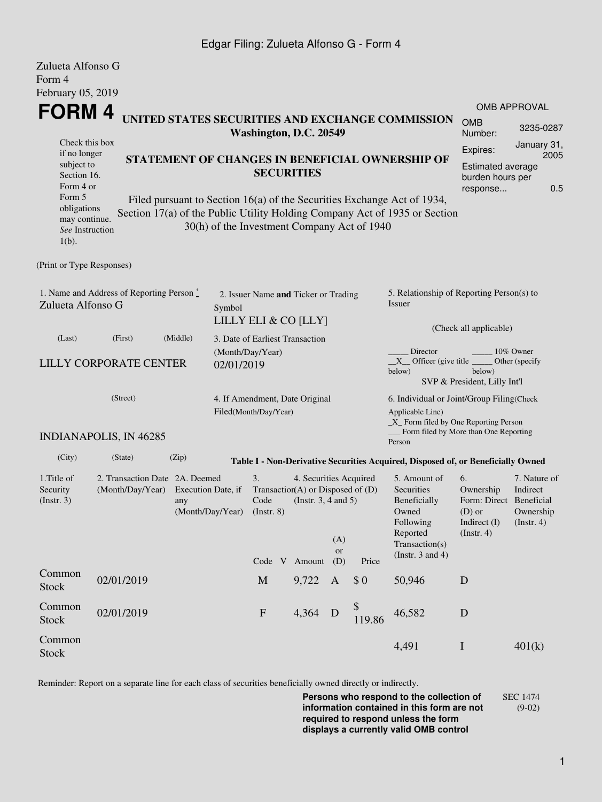## Edgar Filing: Zulueta Alfonso G - Form 4

| Zulueta Alfonso G<br>Form 4                                                                                                                       |                                                                        |                                               |                                                                                                                                                                                                                                                                              |                                                                                                            |                                                                                                                                                                           |              |                                                                                                                                                              |                                                                                            |                                                      |
|---------------------------------------------------------------------------------------------------------------------------------------------------|------------------------------------------------------------------------|-----------------------------------------------|------------------------------------------------------------------------------------------------------------------------------------------------------------------------------------------------------------------------------------------------------------------------------|------------------------------------------------------------------------------------------------------------|---------------------------------------------------------------------------------------------------------------------------------------------------------------------------|--------------|--------------------------------------------------------------------------------------------------------------------------------------------------------------|--------------------------------------------------------------------------------------------|------------------------------------------------------|
| February 05, 2019                                                                                                                                 |                                                                        |                                               |                                                                                                                                                                                                                                                                              |                                                                                                            |                                                                                                                                                                           |              |                                                                                                                                                              |                                                                                            | <b>OMB APPROVAL</b>                                  |
| FORM 4<br>UNITED STATES SECURITIES AND EXCHANGE COMMISSION<br>Washington, D.C. 20549                                                              |                                                                        |                                               |                                                                                                                                                                                                                                                                              |                                                                                                            |                                                                                                                                                                           |              |                                                                                                                                                              |                                                                                            | 3235-0287                                            |
| Check this box<br>if no longer<br>subject to<br>Section 16.<br>Form 4 or<br>Form 5<br>obligations<br>may continue.<br>See Instruction<br>$1(b)$ . |                                                                        |                                               | STATEMENT OF CHANGES IN BENEFICIAL OWNERSHIP OF<br><b>SECURITIES</b><br>Filed pursuant to Section 16(a) of the Securities Exchange Act of 1934,<br>Section 17(a) of the Public Utility Holding Company Act of 1935 or Section<br>30(h) of the Investment Company Act of 1940 | January 31,<br>Expires:<br>2005<br><b>Estimated average</b><br>burden hours per<br>0.5<br>response         |                                                                                                                                                                           |              |                                                                                                                                                              |                                                                                            |                                                      |
| (Print or Type Responses)                                                                                                                         |                                                                        |                                               |                                                                                                                                                                                                                                                                              |                                                                                                            |                                                                                                                                                                           |              |                                                                                                                                                              |                                                                                            |                                                      |
| 1. Name and Address of Reporting Person*<br>Zulueta Alfonso G                                                                                     | 2. Issuer Name and Ticker or Trading<br>Symbol<br>LILLY ELI & CO [LLY] |                                               |                                                                                                                                                                                                                                                                              |                                                                                                            | 5. Relationship of Reporting Person(s) to<br><b>Issuer</b>                                                                                                                |              |                                                                                                                                                              |                                                                                            |                                                      |
| (Last)<br><b>LILLY CORPORATE CENTER</b>                                                                                                           | 3. Date of Earliest Transaction<br>(Month/Day/Year)<br>02/01/2019      |                                               |                                                                                                                                                                                                                                                                              |                                                                                                            | (Check all applicable)<br>Director<br>10% Owner<br>$X$ Officer (give title $\overline{\phantom{A}}$<br>Other (specify<br>below)<br>below)<br>SVP & President, Lilly Int'l |              |                                                                                                                                                              |                                                                                            |                                                      |
|                                                                                                                                                   | (Street)<br><b>INDIANAPOLIS, IN 46285</b>                              |                                               | 4. If Amendment, Date Original<br>Filed(Month/Day/Year)                                                                                                                                                                                                                      |                                                                                                            |                                                                                                                                                                           |              | 6. Individual or Joint/Group Filing(Check<br>Applicable Line)<br>$\_X$ Form filed by One Reporting Person<br>Form filed by More than One Reporting<br>Person |                                                                                            |                                                      |
| (City)                                                                                                                                            | (State)                                                                | (Zip)                                         |                                                                                                                                                                                                                                                                              |                                                                                                            |                                                                                                                                                                           |              | Table I - Non-Derivative Securities Acquired, Disposed of, or Beneficially Owned                                                                             |                                                                                            |                                                      |
| 1. Title of<br>Security<br>(Insert. 3)                                                                                                            | 2. Transaction Date 2A. Deemed<br>(Month/Day/Year)                     | Execution Date, if<br>any<br>(Month/Day/Year) | 3.<br>Code<br>$($ Instr. $8)$                                                                                                                                                                                                                                                | 4. Securities Acquired<br>Transaction(A) or Disposed of $(D)$<br>(Instr. $3, 4$ and $5$ )<br>Code V Amount | (A)<br>or<br>(D)                                                                                                                                                          | Price        | 5. Amount of<br>Securities<br>Beneficially<br>Owned<br>Following<br>Reported<br>Transaction(s)<br>(Instr. $3$ and $4$ )                                      | 6.<br>Ownership<br>Form: Direct Beneficial<br>$(D)$ or<br>Indirect (I)<br>$($ Instr. 4 $)$ | 7. Nature of<br>Indirect<br>Ownership<br>(Insert. 4) |
| Common<br><b>Stock</b>                                                                                                                            | 02/01/2019                                                             |                                               | $\mathbf M$                                                                                                                                                                                                                                                                  | 9,722                                                                                                      | $\mathbf{A}$                                                                                                                                                              | \$0          | 50,946                                                                                                                                                       | D                                                                                          |                                                      |
| Common<br>Stock                                                                                                                                   | 02/01/2019                                                             |                                               | ${\bf F}$                                                                                                                                                                                                                                                                    | 4,364                                                                                                      | D                                                                                                                                                                         | \$<br>119.86 | 46,582                                                                                                                                                       | $\mathbf D$                                                                                |                                                      |
| Common<br><b>Stock</b>                                                                                                                            |                                                                        |                                               |                                                                                                                                                                                                                                                                              |                                                                                                            |                                                                                                                                                                           |              | 4,491                                                                                                                                                        | $\bf{I}$                                                                                   | 401(k)                                               |

Reminder: Report on a separate line for each class of securities beneficially owned directly or indirectly.

**Persons who respond to the collection of information contained in this form are not required to respond unless the form displays a currently valid OMB control** SEC 1474 (9-02)